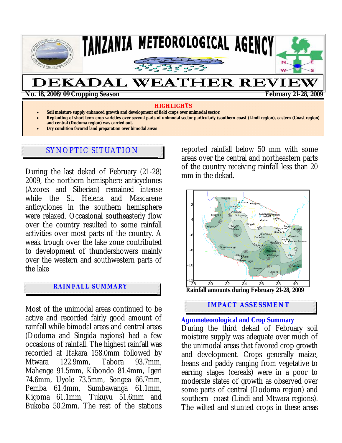

#### **HIGHLIGHTS**

- **Soil moisture supply enhanced growth and development of field crops over unimodal sector.**
- **Replanting of short term crop varieties over several parts of unimodal sector particularly (southern coast (Lindi region), eastern (Coast region) and central (Dodoma region) was carried out.**
- **Dry condition favored land preparation over bimodal areas**

## SYNOPTIC SITUATION

During the last dekad of February (21-28) 2009, the northern hemisphere anticyclones (Azores and Siberian) remained intense while the St. Helena and Mascarene anticyclones in the southern hemisphere were relaxed. Occasional southeasterly flow over the country resulted to some rainfall activities over most parts of the country. A weak trough over the lake zone contributed to development of thundershowers mainly over the western and southwestern parts of the lake

### **RAINFALL SUMMARY**

Most of the unimodal areas continued to be active and recorded fairly good amount of rainfall while bimodal areas and central areas (Dodoma and Singida regions) had a few occasions of rainfall. The highest rainfall was recorded at Ifakara 158.0mm followed by Mtwara 122.9mm, Tabora 93.7mm, Mahenge 91.5mm, Kibondo 81.4mm, Igeri 74.6mm, Uyole 73.5mm, Songea 66.7mm, Pemba 61.4mm, Sumbawanga 61.1mm, Kigoma 61.1mm, Tukuyu 51.6mm and Bukoba 50.2mm. The rest of the stations reported rainfall below 50 mm with some areas over the central and northeastern parts of the country receiving rainfall less than 20 mm in the dekad.



**IMPACT ASSESSMENT** 

#### **Agrometeorological and Crop Summary**

During the third dekad of February soil moisture supply was adequate over much of the unimodal areas that favored crop growth and development. Crops generally maize, beans and paddy ranging from vegetative to earring stages (cereals) were in a poor to moderate states of growth as observed over some parts of central (Dodoma region) and southern coast (Lindi and Mtwara regions). The wilted and stunted crops in these areas